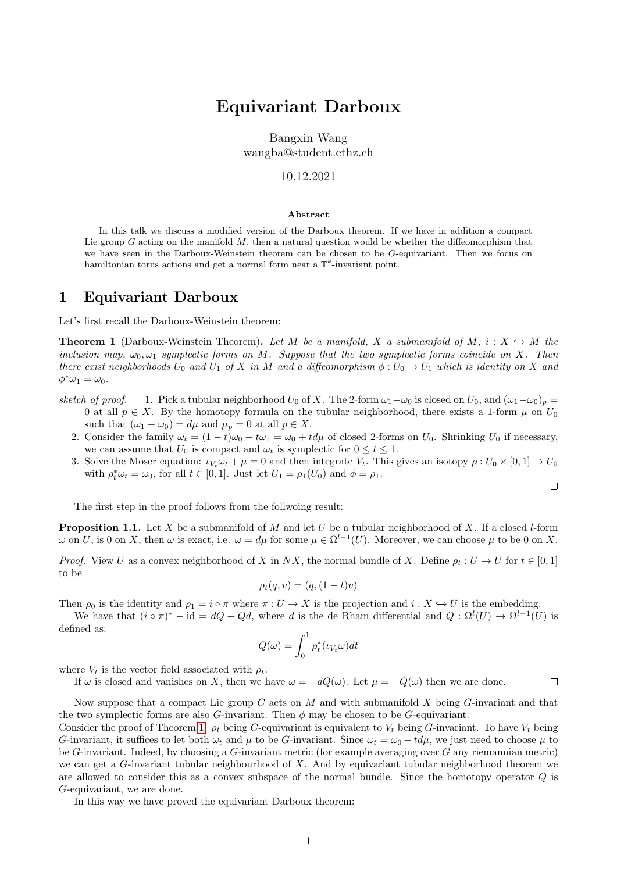# Equivariant Darboux

Bangxin Wang wangba@student.ethz.ch

### 10.12.2021

#### Abstract

In this talk we discuss a modified version of the Darboux theorem. If we have in addition a compact Lie group  $G$  acting on the manifold  $M$ , then a natural question would be whether the diffeomorphism that we have seen in the Darboux-Weinstein theorem can be chosen to be G-equivariant. Then we focus on hamiltonian torus actions and get a normal form near a  $\mathbb{T}^k$ -invariant point.

## 1 Equivariant Darboux

Let's first recall the Darboux-Weinstein theorem:

<span id="page-0-0"></span>**Theorem 1** (Darboux-Weinstein Theorem). Let M be a manifold, X a submanifold of M,  $i: X \hookrightarrow M$  the inclusion map,  $\omega_0, \omega_1$  symplectic forms on M. Suppose that the two symplectic forms coincide on X. Then there exist neighborhoods  $U_0$  and  $U_1$  of X in M and a diffeomorphism  $\phi: U_0 \to U_1$  which is identity on X and  $\phi^*\omega_1=\omega_0.$ 

- sketch of proof. 1. Pick a tubular neighborhood  $U_0$  of X. The 2-form  $\omega_1-\omega_0$  is closed on  $U_0$ , and  $(\omega_1-\omega_0)_p =$ 0 at all  $p \in X$ . By the homotopy formula on the tubular neighborhood, there exists a 1-form  $\mu$  on  $U_0$ such that  $(\omega_1 - \omega_0) = d\mu$  and  $\mu_p = 0$  at all  $p \in X$ .
	- 2. Consider the family  $\omega_t = (1 t)\omega_0 + t\omega_1 = \omega_0 + t d\mu$  of closed 2-forms on  $U_0$ . Shrinking  $U_0$  if necessary, we can assume that  $U_0$  is compact and  $\omega_t$  is symplectic for  $0 \le t \le 1$ .
	- 3. Solve the Moser equation:  $\iota_{V_t}\omega_t + \mu = 0$  and then integrate  $V_t$ . This gives an isotopy  $\rho: U_0 \times [0,1] \to U_0$ with  $\rho_t^* \omega_t = \omega_0$ , for all  $t \in [0, 1]$ . Just let  $U_1 = \rho_1(U_0)$  and  $\phi = \rho_1$ .

 $\Box$ 

The first step in the proof follows from the follwoing result:

**Proposition 1.1.** Let X be a submanifold of M and let U be a tubular neighborhood of X. If a closed l-form  $ω$  on U, is 0 on X, then  $ω$  is exact, i.e.  $ω = dμ$  for some  $μ ∈ Ω<sup>l-1</sup>(U)$ . Moreover, we can choose  $μ$  to be 0 on X.

*Proof.* View U as a convex neighborhood of X in NX, the normal bundle of X. Define  $\rho_t : U \to U$  for  $t \in [0,1]$ to be

$$
\rho_t(q, v) = (q, (1-t)v)
$$

Then  $\rho_0$  is the identity and  $\rho_1 = i \circ \pi$  where  $\pi : U \to X$  is the projection and  $i : X \to U$  is the embedding.

We have that  $(i \circ \pi)^* - id = dQ + Qd$ , where d is the de Rham differential and  $Q : \Omega^l(U) \to \Omega^{l-1}(U)$  is defined as:

$$
Q(\omega) = \int_0^1 \rho_t^*(\iota_{V_t}\omega)dt
$$

where  $V_t$  is the vector field associated with  $\rho_t$ .

If  $\omega$  is closed and vanishes on X, then we have  $\omega = -dQ(\omega)$ . Let  $\mu = -Q(\omega)$  then we are done.  $\Box$ 

Now suppose that a compact Lie group  $G$  acts on  $M$  and with submanifold  $X$  being  $G$ -invariant and that the two symplectic forms are also G-invariant. Then  $\phi$  may be chosen to be G-equivariant:

Consider the proof of Theorem [1.](#page-0-0)  $\rho_t$  being G-equivariant is equivalent to  $V_t$  being G-invariant. To have  $V_t$  being G-invariant, it suffices to let both  $\omega_t$  and  $\mu$  to be G-invariant. Since  $\omega_t = \omega_0 + t d\mu$ , we just need to choose  $\mu$  to be  $G$ -invariant. Indeed, by choosing a  $G$ -invariant metric (for example averaging over  $G$  any riemannian metric) we can get a  $G$ -invariant tubular neighbourhood of X. And by equivariant tubular neighborhood theorem we are allowed to consider this as a convex subspace of the normal bundle. Since the homotopy operator Q is G-equivariant, we are done.

In this way we have proved the equivariant Darboux theorem: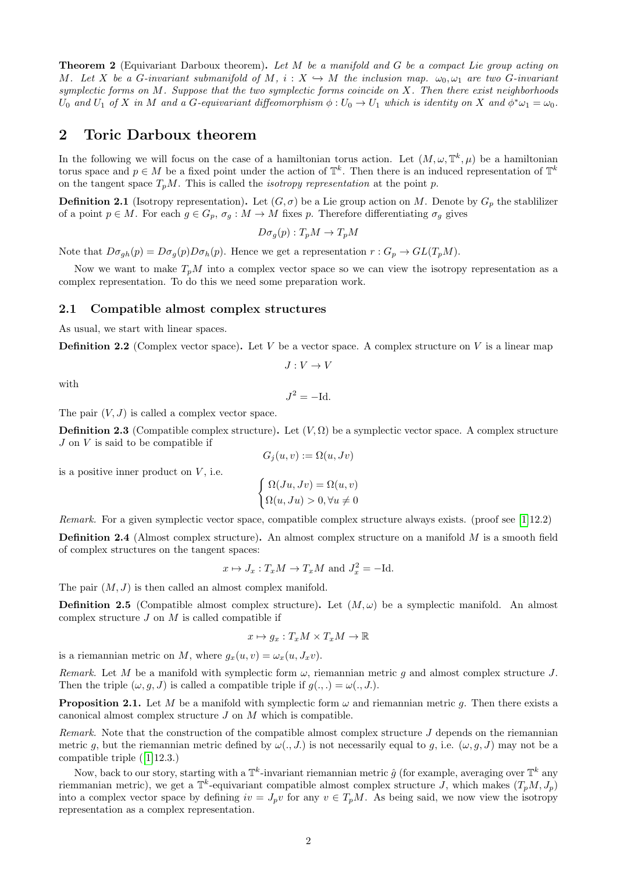**Theorem 2** (Equivariant Darboux theorem). Let M be a manifold and G be a compact Lie group acting on M. Let X be a G-invariant submanifold of M,  $i: X \to M$  the inclusion map.  $\omega_0, \omega_1$  are two G-invariant symplectic forms on M. Suppose that the two symplectic forms coincide on X. Then there exist neighborhoods U<sub>0</sub> and U<sub>1</sub> of X in M and a G-equivariant diffeomorphism  $\phi: U_0 \to U_1$  which is identity on X and  $\phi^* \omega_1 = \omega_0$ .

# 2 Toric Darboux theorem

In the following we will focus on the case of a hamiltonian torus action. Let  $(M, \omega, \mathbb{T}^k, \mu)$  be a hamiltonian torus space and  $p \in M$  be a fixed point under the action of  $\mathbb{T}^k$ . Then there is an induced representation of  $\mathbb{T}^k$ on the tangent space  $T_pM$ . This is called the *isotropy representation* at the point p.

**Definition 2.1** (Isotropy representation). Let  $(G, \sigma)$  be a Lie group action on M. Denote by  $G_p$  the stablilizer of a point  $p \in M$ . For each  $g \in G_p$ ,  $\sigma_g : M \to M$  fixes p. Therefore differentiating  $\sigma_g$  gives

 $D\sigma_q(p): T_pM \to T_pM$ 

Note that  $D\sigma_{gh}(p) = D\sigma_{g}(p)D\sigma_{h}(p)$ . Hence we get a representation  $r: G_p \to GL(T_pM)$ .

Now we want to make  $T_pM$  into a complex vector space so we can view the isotropy representation as a complex representation. To do this we need some preparation work.

## 2.1 Compatible almost complex structures

As usual, we start with linear spaces.

**Definition 2.2** (Complex vector space). Let V be a vector space. A complex structure on V is a linear map

$$
J: V \to V
$$

with

$$
J^2 = -\mathrm{Id}.
$$

The pair  $(V, J)$  is called a complex vector space.

**Definition 2.3** (Compatible complex structure). Let  $(V, \Omega)$  be a symplectic vector space. A complex structure  $J$  on  $V$  is said to be compatible if

$$
G_j(u, v) := \Omega(u, Jv)
$$

is a positive inner product on  $V$ , i.e.

$$
\begin{cases} \Omega(Ju, Jv) = \Omega(u, v) \\ \Omega(u, Ju) > 0, \forall u \neq 0 \end{cases}
$$

Remark. For a given symplectic vector space, compatible complex structure always exists. (proof see [\[1\]](#page-4-0)12.2)

Definition 2.4 (Almost complex structure). An almost complex structure on a manifold M is a smooth field of complex structures on the tangent spaces:

$$
x \mapsto J_x : T_x M \to T_x M
$$
 and  $J_x^2 = -Id$ .

The pair  $(M, J)$  is then called an almost complex manifold.

**Definition 2.5** (Compatible almost complex structure). Let  $(M, \omega)$  be a symplectic manifold. An almost complex structure  $J$  on  $M$  is called compatible if

$$
x \mapsto g_x: T_xM \times T_xM \to \mathbb{R}
$$

is a riemannian metric on M, where  $q_x(u, v) = \omega_x(u, J_xv)$ .

Remark. Let M be a manifold with symplectic form  $\omega$ , riemannian metric g and almost complex structure J. Then the triple  $(\omega, g, J)$  is called a compatible triple if  $g(.,.) = \omega(., J.).$ 

**Proposition 2.1.** Let M be a manifold with symplectic form  $\omega$  and riemannian metric g. Then there exists a canonical almost complex structure  $J$  on  $M$  which is compatible.

Remark. Note that the construction of the compatible almost complex structure  $J$  depends on the riemannian metric q, but the riemannian metric defined by  $\omega(., J.)$  is not necessarily equal to q, i.e.  $(\omega, q, J)$  may not be a compatible triple ([\[1\]](#page-4-0)12.3.)

Now, back to our story, starting with a  $\mathbb{T}^k$ -invariant riemannian metric  $\hat{g}$  (for example, averaging over  $\mathbb{T}^k$  any riemmanian metric), we get a  $\mathbb{T}^k$ -equivariant compatible almost complex structure J, which makes  $(T_pM, J_p)$ into a complex vector space by defining  $iv = J_p v$  for any  $v \in T_pM$ . As being said, we now view the isotropy representation as a complex representation.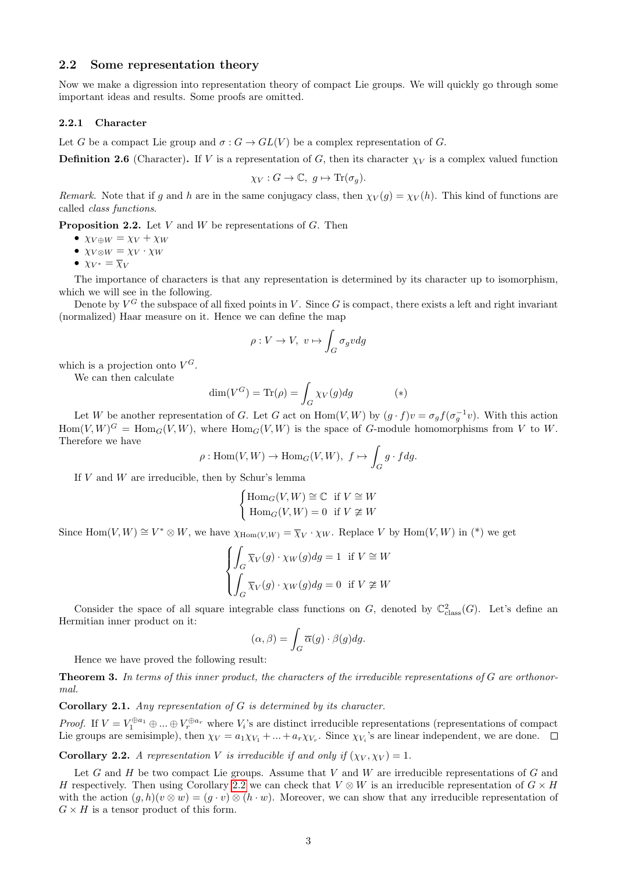## 2.2 Some representation theory

Now we make a digression into representation theory of compact Lie groups. We will quickly go through some important ideas and results. Some proofs are omitted.

#### 2.2.1 Character

Let G be a compact Lie group and  $\sigma : G \to GL(V)$  be a complex representation of G.

**Definition 2.6** (Character). If V is a representation of G, then its character  $\chi_V$  is a complex valued function

$$
\chi_V: G \to \mathbb{C}, \ g \mapsto \text{Tr}(\sigma_g).
$$

Remark. Note that if g and h are in the same conjugacy class, then  $\chi_V(g) = \chi_V(h)$ . This kind of functions are called class functions.

**Proposition 2.2.** Let  $V$  and  $W$  be representations of  $G$ . Then

- $\chi_{V \oplus W} = \chi_{V} + \chi_{W}$
- $\chi_{V\otimes W} = \chi_V \cdot \chi_W$
- $\chi_{V^*} = \overline{\chi}_V$

The importance of characters is that any representation is determined by its character up to isomorphism, which we will see in the following.

Denote by  $V^G$  the subspace of all fixed points in V. Since G is compact, there exists a left and right invariant (normalized) Haar measure on it. Hence we can define the map

$$
\rho: V \to V, \ v \mapsto \int_G \sigma_g v dg
$$

which is a projection onto  $V^G$ .

We can then calculate

$$
\dim(V^G) = \text{Tr}(\rho) = \int_G \chi_V(g) dg \tag{*}
$$

Let W be another representation of G. Let G act on  $\text{Hom}(V, W)$  by  $(g \cdot f)v = \sigma_g f(\sigma_g^{-1}v)$ . With this action  $\text{Hom}(V,W)^G = \text{Hom}_G(V,W)$ , where  $\text{Hom}_G(V,W)$  is the space of G-module homomorphisms from V to W. Therefore we have

$$
\rho: \text{Hom}(V, W) \to \text{Hom}_G(V, W), \ f \mapsto \int_G g \cdot f dg.
$$

If  $V$  and  $W$  are irreducible, then by Schur's lemma

$$
\begin{cases} \operatorname{Hom}_G(V, W) \cong \mathbb{C} & \text{if } V \cong W \\ \operatorname{Hom}_G(V, W) = 0 & \text{if } V \ncong W \end{cases}
$$

Since  $\text{Hom}(V, W) \cong V^* \otimes W$ , we have  $\chi_{\text{Hom}(V, W)} = \overline{\chi}_V \cdot \chi_W$ . Replace V by  $\text{Hom}(V, W)$  in (\*) we get

$$
\begin{cases} \int_G \overline{\chi}_V(g) \cdot \chi_W(g) dg = 1 & \text{if } V \cong W \\ \int_G \overline{\chi}_V(g) \cdot \chi_W(g) dg = 0 & \text{if } V \ncong W \end{cases}
$$

Consider the space of all square integrable class functions on G, denoted by  $\mathbb{C}^2_{\text{class}}(G)$ . Let's define an Hermitian inner product on it:

$$
(\alpha, \beta) = \int_G \overline{\alpha}(g) \cdot \beta(g) dg.
$$

Hence we have proved the following result:

**Theorem 3.** In terms of this inner product, the characters of the irreducible representations of  $G$  are orthonormal.

**Corollary 2.1.** Any representation of  $G$  is determined by its character.

*Proof.* If  $V = V_1^{\oplus a_1} \oplus ... \oplus V_r^{\oplus a_r}$  where  $V_i$ 's are distinct irreducible representations (representations of compact Lie groups are semisimple), then  $\chi_V = a_1 \chi_{V_1} + ... + a_r \chi_{V_r}$ . Since  $\chi_{V_i}$ 's are linear independent, we are done.

<span id="page-2-0"></span>**Corollary 2.2.** A representation V is irreducible if and only if  $(\chi_V, \chi_V) = 1$ .

Let G and H be two compact Lie groups. Assume that V and W are irreducible representations of G and H respectively. Then using Corollary [2.2](#page-2-0) we can check that  $V \otimes W$  is an irreducible representation of  $G \times H$ with the action  $(g, h)(v \otimes w) = (g \cdot v) \otimes (h \cdot w)$ . Moreover, we can show that any irreducible representation of  $G \times H$  is a tensor product of this form.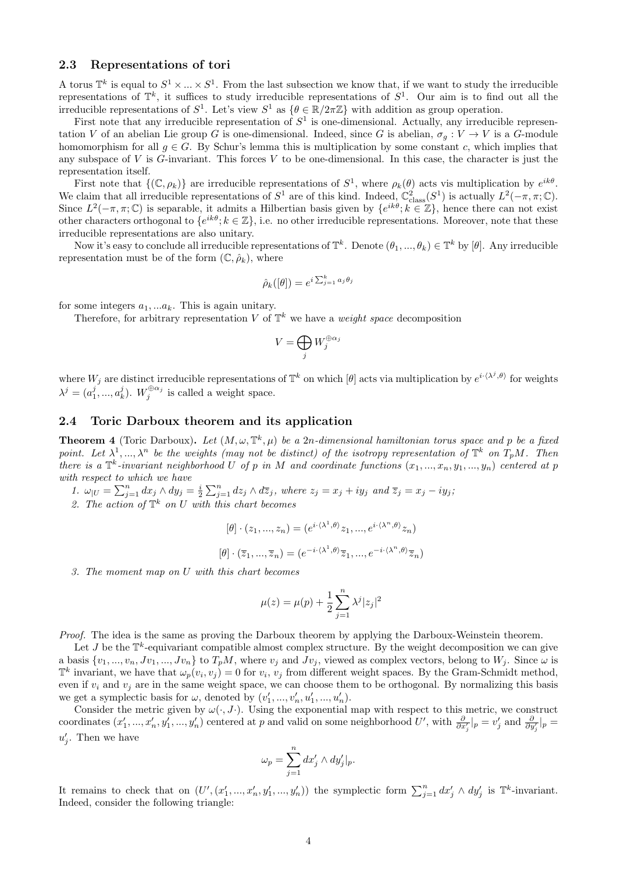## 2.3 Representations of tori

A torus  $\mathbb{T}^k$  is equal to  $S^1 \times \ldots \times S^1$ . From the last subsection we know that, if we want to study the irreducible representations of  $\mathbb{T}^k$ , it suffices to study irreducible representations of  $S^1$ . Our aim is to find out all the irreducible representations of  $S^1$ . Let's view  $S^1$  as  $\{\theta \in \mathbb{R}/2\pi\mathbb{Z}\}\$  with addition as group operation.

First note that any irreducible representation of  $S<sup>1</sup>$  is one-dimensional. Actually, any irreducible representation V of an abelian Lie group G is one-dimensional. Indeed, since G is abelian,  $\sigma_q: V \to V$  is a G-module homomorphism for all  $g \in G$ . By Schur's lemma this is multiplication by some constant c, which implies that any subspace of  $V$  is  $G$ -invariant. This forces  $V$  to be one-dimensional. In this case, the character is just the representation itself.

First note that  $\{(\mathbb{C}, \rho_k)\}\$ are irreducible representations of  $S^1$ , where  $\rho_k(\theta)$  acts vis multiplication by  $e^{ik\theta}$ . We claim that all irreducible representations of  $S^1$  are of this kind. Indeed,  $\mathbb{C}^2_{\text{class}}(S^1)$  is actually  $L^2(-\pi,\pi;\mathbb{C})$ . Since  $L^2(-\pi, \pi; \mathbb{C})$  is separable, it admits a Hilbertian basis given by  $\{e^{ik\theta}; k \in \mathbb{Z}\}\)$ , hence there can not exist other characters orthogonal to  $\{e^{ik\theta}; k \in \mathbb{Z}\},$  i.e. no other irreducible representations. Moreover, note that these irreducible representations are also unitary.

Now it's easy to conclude all irreducible representations of  $\mathbb{T}^k$ . Denote  $(\theta_1, ..., \theta_k) \in \mathbb{T}^k$  by  $[\theta]$ . Any irreducible representation must be of the form  $(\mathbb{C}, \hat{\rho}_k)$ , where

$$
\hat{\rho}_k([\theta]) = e^{i\sum_{j=1}^k a_j \theta_j}
$$

for some integers  $a_1, \ldots a_k$ . This is again unitary.

Therefore, for arbitrary representation V of  $\mathbb{T}^k$  we have a *weight space* decomposition

$$
V = \bigoplus_j W_j^{\oplus \alpha_j}
$$

where  $W_j$  are distinct irreducible representations of  $\mathbb{T}^k$  on which  $[\theta]$  acts via multiplication by  $e^{i\cdot\langle\lambda^j,\theta\rangle}$  for weights  $\lambda^j = (a_1^j, ..., a_k^j)$ .  $W_j^{\oplus \alpha_j}$  is called a weight space.

## 2.4 Toric Darboux theorem and its application

**Theorem 4** (Toric Darboux). Let  $(M, \omega, \mathbb{T}^k, \mu)$  be a 2n-dimensional hamiltonian torus space and p be a fixed point. Let  $\lambda^1, ..., \lambda^n$  be the weights (may not be distinct) of the isotropy representation of  $\mathbb{T}^k$  on  $T_pM$ . Then there is a  $\mathbb{T}^k$ -invariant neighborhood U of p in M and coordinate functions  $(x_1, ..., x_n, y_1, ..., y_n)$  centered at p with respect to which we have

- 1.  $\omega_{|U} = \sum_{j=1}^{n} dx_j \wedge dy_j = \frac{i}{2} \sum_{j=1}^{n} dz_j \wedge d\overline{z}_j$ , where  $z_j = x_j + iy_j$  and  $\overline{z}_j = x_j iy_j$ ;
- 2. The action of  $\mathbb{T}^k$  on U with this chart becomes

$$
[\theta] \cdot (z_1, ..., z_n) = (e^{i \cdot \langle \lambda^1, \theta \rangle} z_1, ..., e^{i \cdot \langle \lambda^n, \theta \rangle} z_n)
$$

$$
[\theta] \cdot (\overline{z}_1, ..., \overline{z}_n) = (e^{-i \cdot \langle \lambda^1, \theta \rangle} \overline{z}_1, ..., e^{-i \cdot \langle \lambda^n, \theta \rangle} \overline{z}_n)
$$

3. The moment map on U with this chart becomes

$$
\mu(z) = \mu(p) + \frac{1}{2} \sum_{j=1}^{n} \lambda^j |z_j|^2
$$

Proof. The idea is the same as proving the Darboux theorem by applying the Darboux-Weinstein theorem.

Let J be the  $\mathbb{T}^k$ -equivariant compatible almost complex structure. By the weight decomposition we can give a basis  $\{v_1, ..., v_n, Jv_1, ..., Jv_n\}$  to  $T_pM$ , where  $v_j$  and  $Jv_j$ , viewed as complex vectors, belong to  $W_j$ . Since  $\omega$  is  $\mathbb{T}^k$  invariant, we have that  $\omega_p(v_i, v_j) = 0$  for  $v_i, v_j$  from different weight spaces. By the Gram-Schmidt method, even if  $v_i$  and  $v_j$  are in the same weight space, we can choose them to be orthogonal. By normalizing this basis we get a symplectic basis for  $\omega$ , denoted by  $(v'_1, ..., v'_n, u'_1, ..., u'_n)$ .

Consider the metric given by  $\omega(\cdot, J \cdot)$ . Using the exponential map with respect to this metric, we construct coordinates  $(x'_1, ..., x'_n, y'_1, ..., y'_n)$  centered at p and valid on some neighborhood U', with  $\frac{\partial}{\partial x'_j}|_p = v'_j$  and  $\frac{\partial}{\partial y'_j}|_p =$  $u'_j$ . Then we have

$$
\omega_p = \sum_{j=1}^n dx'_j \wedge dy'_j|_p.
$$

It remains to check that on  $(U', (x'_1, ..., x'_n, y'_1, ..., y'_n))$  the symplectic form  $\sum_{j=1}^n dx'_j \wedge dy'_j$  is  $\mathbb{T}^k$ -invariant. Indeed, consider the following triangle: